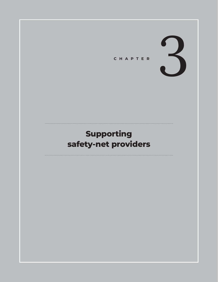

# **Supporting safety-net providers**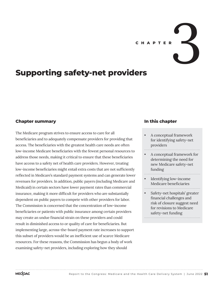

# **Supporting safety-net providers**

## **Chapter summary**

The Medicare program strives to ensure access to care for all beneficiaries and to adequately compensate providers for providing that access. The beneficiaries with the greatest health care needs are often low-income Medicare beneficiaries with the fewest personal resources to address those needs, making it critical to ensure that these beneficiaries have access to a safety net of health care providers. However, treating low-income beneficiaries might entail extra costs that are not sufficiently reflected in Medicare's standard payment systems and can generate lower revenues for providers. In addition, public payers (including Medicare and Medicaid) in certain sectors have lower payment rates than commercial insurance, making it more difficult for providers who are substantially dependent on public payers to compete with other providers for labor. The Commission is concerned that the concentration of low-income beneficiaries or patients with public insurance among certain providers may create an undue financial strain on these providers and could result in diminished access to or quality of care for beneficiaries. But implementing large, across-the-board payment rate increases to support this subset of providers would be an inefficient use of scarce Medicare resources. For these reasons, the Commission has begun a body of work examining safety-net providers, including exploring how they should

#### **In this chapter**

- A conceptual framework for identifying safety-net providers
- A conceptual framework for determining the need for new Medicare safety-net funding
- Identifying low-income Medicare beneficiaries
- Safety-net hospitals' greater financial challenges and risk of closure suggest need for revisions to Medicare safety-net funding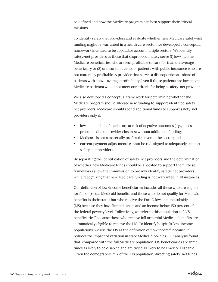be defined and how the Medicare program can best support their critical missions.

To identify safety-net providers and evaluate whether new Medicare safety-net funding might be warranted in a health care sector, we developed a conceptual framework intended to be applicable across multiple sectors. We identify safety-net providers as those that disproportionately serve (1) low-income Medicare beneficiaries who are less profitable to care for than the average beneficiary or (2) uninsured patients or patients with public insurance who are not materially profitable. A provider that serves a disproportionate share of patients with above-average profitability (even if those patients are low-income Medicare patients) would not meet our criteria for being a safety-net provider.

We also developed a conceptual framework for determining whether the Medicare program should allocate new funding to support identified safetynet providers. Medicare should spend additional funds to support safety-net providers only if:

- low-income beneficiaries are at risk of negative outcomes (e.g., access problems due to provider closures) without additional funding;
- Medicare is not a materially profitable payer in the sector; and
- current payment adjustments cannot be redesigned to adequately support safety-net providers.

By separating the identification of safety-net providers and the determination of whether new Medicare funds should be allocated to support them, these frameworks allow the Commission to broadly identify safety-net providers while recognizing that new Medicare funding is not warranted in all instances.

Our definition of low-income beneficiaries includes all those who are eligible for full or partial Medicaid benefits and those who do not qualify for Medicaid benefits in their states but who receive the Part D low-income subsidy (LIS) because they have limited assets and an income below 150 percent of the federal poverty level. Collectively, we refer to this population as "LIS beneficiaries" because those who receive full or partial Medicaid benefits are automatically eligible to receive the LIS. To identify hospitals' low-income populations, we use the LIS as the definition of "low income" because it reduces the impact of variation in state Medicaid policies. Our analysis found that, compared with the full Medicare population, LIS beneficiaries are three times as likely to be disabled and are twice as likely to be Black or Hispanic. Given the demographic mix of the LIS population, directing safety-net funds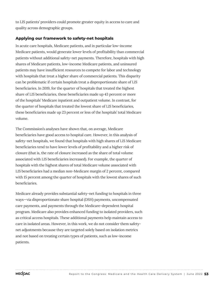to LIS patients' providers could promote greater equity in access to care and quality across demographic groups.

#### **Applying our framework to safety-net hospitals**

In acute care hospitals, Medicare patients, and in particular low-income Medicare patients, would generate lower levels of profitability than commercial patients without additional safety-net payments. Therefore, hospitals with high shares of Medicare patients, low-income Medicare patients, and uninsured patients may have insufficient resources to compete for labor and technology with hospitals that treat a higher share of commercial patients. This disparity can be problematic if certain hospitals treat a disproportionate share of LIS beneficiaries. In 2019, for the quarter of hospitals that treated the highest share of LIS beneficiaries, these beneficiaries made up 43 percent or more of the hospitals' Medicare inpatient and outpatient volume. In contrast, for the quarter of hospitals that treated the lowest share of LIS beneficiaries, these beneficiaries made up 23 percent or less of the hospitals' total Medicare volume.

The Commission's analyses have shown that, on average, Medicare beneficiaries have good access to hospital care. However, in this analysis of safety-net hospitals, we found that hospitals with high shares of LIS Medicare beneficiaries tend to have lower levels of profitability and a higher risk of closure (that is, the rate of closure increased as the share of total volume associated with LIS beneficiaries increased). For example, the quarter of hospitals with the highest shares of total Medicare volume associated with LIS beneficiaries had a median non-Medicare margin of 2 percent, compared with 15 percent among the quarter of hospitals with the lowest shares of such beneficiaries.

Medicare already provides substantial safety-net funding to hospitals in three ways—via disproportionate share hospital (DSH) payments, uncompensated care payments, and payments through the Medicare-dependent hospital program. Medicare also provides enhanced funding to isolated providers, such as critical access hospitals. These additional payments help maintain access to care in isolated areas. However, in this work, we do not consider them safetynet adjustments because they are targeted solely based on isolation metrics and not based on treating certain types of patients, such as low-income patients.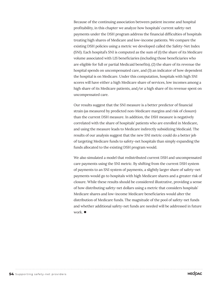Because of the continuing association between patient income and hospital profitability, in this chapter we analyze how hospitals' current safety-net payments under the DSH program address the financial difficulties of hospitals treating high shares of Medicare and low-income patients. We compare the existing DSH policies using a metric we developed called the Safety-Net Index (SNI). Each hospital's SNI is computed as the sum of (1) the share of its Medicare volume associated with LIS beneficiaries (including those beneficiaries who are eligible for full or partial Medicaid benefits), (2) the share of its revenue the hospital spends on uncompensated care, and (3) an indicator of how dependent the hospital is on Medicare. Under this computation, hospitals with high SNI scores will have either a high Medicare share of services, low incomes among a high share of its Medicare patients, and/or a high share of its revenue spent on uncompensated care.

Our results suggest that the SNI measure is a better predictor of financial strain (as measured by predicted non-Medicare margins and risk of closure) than the current DSH measure. In addition, the DSH measure is negatively correlated with the share of hospitals' patients who are enrolled in Medicare, and using the measure leads to Medicare indirectly subsidizing Medicaid. The results of our analysis suggest that the new SNI metric could do a better job of targeting Medicare funds to safety-net hospitals than simply expanding the funds allocated to the existing DSH program would.

We also simulated a model that redistributed current DSH and uncompensated care payments using the SNI metric. By shifting from the current DSH system of payments to an SNI system of payments, a slightly larger share of safety-net payments would go to hospitals with high Medicare shares and a greater risk of closure. While these results should be considered illustrative, providing a sense of how distributing safety-net dollars using a metric that considers hospitals' Medicare shares and low-income Medicare beneficiaries would alter the distribution of Medicare funds. The magnitude of the pool of safety-net funds and whether additional safety-net funds are needed will be addressed in future work. ■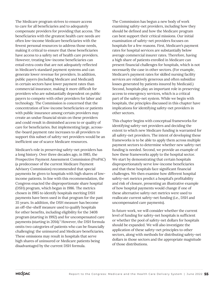The Medicare program strives to ensure access to care for all beneficiaries and to adequately compensate providers for providing that access. The beneficiaries with the greatest health care needs are often low-income Medicare beneficiaries with the fewest personal resources to address those needs, making it critical to ensure that these beneficiaries have access to a safety net of health care providers. However, treating low-income beneficiaries can entail extra costs that are not adequately reflected in Medicare's standard payment systems and can generate lower revenue for providers. In addition, public payers (including Medicare and Medicaid) in certain sectors have lower payment rates than commercial insurance, making it more difficult for providers who are substantially dependent on public payers to compete with other providers for labor and technology. The Commission is concerned that the concentration of low-income beneficiaries or patients with public insurance among certain providers may create an undue financial strain on these providers and could result in diminished access to or quality of care for beneficiaries. But implementing large, acrossthe-board payment rate increases to all providers to support this subset of safety-net providers would be an inefficient use of scarce Medicare resources.

Medicare's role in preserving safety-net providers has a long history. Over three decades ago, in 1985, the Prospective Payment Assessment Commission (ProPAC) (a predecessor of the current Medicare Payment Advisory Commission) recommended that special payments be given to hospitals with high shares of lowincome patients. In line with this recommendation, the Congress enacted the disproportionate share hospital (DSH) program, which began in 1986. The metrics chosen in 1985 to identify hospitals meriting DSH payments have been used in that program for the past 35 years. In addition, the DSH measure has become an off-the-shelf measure used to qualify hospitals for other benefits, including eligibility for the 340B program (starting in 1992) and for uncompensated care payments (starting in 2014).<sup>1</sup> However, the DSH formula omits two categories of patients who can be financially challenging: the uninsured and Medicare beneficiaries. These omissions may result in hospitals that serve high shares of uninsured or Medicare patients being disadvantaged by the current DSH formula.

The Commission has begun a new body of work examining safety-net providers, including how they should be defined and how the Medicare program can best support their critical missions. Our initial examination of safety-net providers focuses on hospitals for a few reasons. First, Medicare's payment rates for hospital services are substantially below average commercial insurer rates. Therefore, having a high share of patients enrolled in Medicare can present financial challenges for hospitals, which is not necessarily the case in other sectors. (For example, Medicare's payment rates for skilled nursing facility services are relatively generous and often subsidize losses generated by patients insured by Medicaid.) Second, hospitals play an important role in preserving access to emergency services, which is a critical part of the safety-net system. While we begin with hospitals, the principles discussed in this chapter have implications for identifying safety-net providers in other sectors.

This chapter begins with conceptual frameworks for identifying safety-net providers and deciding the extent to which new Medicare funding is warranted for all safety-net providers. The intent of developing these frameworks is to be able to apply them across multiple payment sectors to determine whether new safety-net funding is needed. Second, we provide an example of how these frameworks apply to the hospital sector. We start by demonstrating that certain hospitals disproportionately serve low-income beneficiaries and that these hospitals face significant financial challenges. We then examine how different hospital safety-net metrics predict a hospital's profitability and risk of closure, presenting an illustrative example of how hospital payments would change if one of these alternative safety-net metrics were used to reallocate current safety-net funding (i.e., DSH and uncompensated care payments).

In future work, we will consider whether the current level of funding for safety-net hospitals is sufficient or whether the pool of safety-net dollars for hospitals should be expanded. We will also investigate the application of these safety-net principles to other sectors, along with methods for distributing safety-net dollars in those sectors and the appropriate magnitude of those distributions.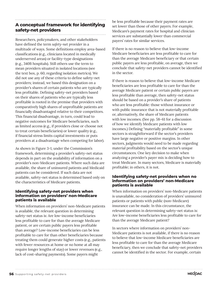## **A conceptual framework for identifying safety-net providers**

Researchers, policymakers, and other stakeholders have defined the term *safety-net provider* in a multitude of ways. Some definitions employ area-based classifications (e.g., clinicians located in medically underserved areas) or facility-type designations (e.g., 340B hospitals). Still others use the term to mean providers situated in isolated locations (see the text box, p. 60, regarding isolation metrics). We did not use any of these criteria to define safety-net providers; instead, we based this designation on a provider's shares of certain patients who are typically less profitable. Defining safety-net providers based on their shares of patients who are typically less profitable is rooted in the premise that providers with comparatively high shares of unprofitable patients are financially disadvantaged relative to their competitors. This financial disadvantage, in turn, could lead to negative outcomes for Medicare beneficiaries, such as limited access (e.g., if providers close or choose not to treat certain beneficiaries) or lower quality (e.g., if financial stress limits capital investments or puts providers at a disadvantage when competing for labor).

As shown in Figure 3-1, under the Commission's framework, determining a provider's safety-net status depends in part on the availability of information on a provider's non-Medicare patients. Where such data are available, the share of uninsured patients and Medicaid patients can be considered. If such data are not available, safety-net status is determined based only on the characteristics of Medicare patients.

#### **Identifying safety-net providers when information on providers' non-Medicare patients is available**

When information on providers' non-Medicare patients is available, the relevant question in determining safety-net status is: Are low-income beneficiaries less profitable to care for than the average Medicare patient, or are certain public payers less profitable than average? Low-income beneficiaries can be less profitable to care for than other beneficiaries because treating them could generate higher costs (e.g., patients with fewer resources at home or no home at all may require longer lengths of stay) or lower revenues (e.g., lack of cost-sharing payments). Some payers might

be less profitable because their payment rates are set lower than those of other payers. For example, Medicare's payment rates for hospital and clinician services are substantially lower than commercial payers' rates for similar services.

If there is no reason to believe that low-income Medicare beneficiaries are less profitable to care for than the average Medicare beneficiary or that certain public payers are less profitable, on average, then we conclude that safety-net providers cannot be identified in the sector.

If there is reason to believe that low-income Medicare beneficiaries are less profitable to care for than the average Medicare patient or certain public payers are less profitable than average, then safety-net status should be based on a provider's share of patients who are less profitable: those without insurance or with public insurance that is not materially profitable or, alternatively, the share of Medicare patients with low incomes. (See pp. 58–61 for a discussion of how we identify Medicare patients with low incomes.) Defining "materially profitable" in some sectors is straightforward if the sector's providers have large negative or positive margins. In other sectors, judgments would need to be made regarding material profitability based on the sector's unique circumstances. One key decision to make when analyzing a provider's payer mix is deciding how to treat Medicare. In many sectors, Medicare is materially profitable; in others, it is not.

#### **Identifying safety-net providers when no information on providers' non-Medicare patients is available**

When information on providers' non-Medicare patients is unavailable, no consideration of providers' uninsured patients or patients with public (non-Medicare) insurance can be made. In this circumstance, the relevant question in determining safety-net status is: Are low-income beneficiaries less profitable to care for than the average Medicare patient?

In sectors where information on providers' non-Medicare patients is not available, if there is no reason to believe that low-income Medicare beneficiaries are less profitable to care for than the average Medicare beneficiary, then we conclude that safety-net providers cannot be identified in the sector. For example, certain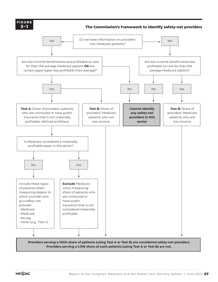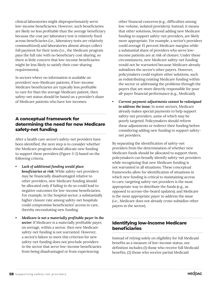clinical laboratories might disproportionately serve low-income beneficiaries. However, such beneficiaries are likely no less profitable than the average beneficiary because the cost per laboratory test is relatively fixed across beneficiaries (i.e., laboratory tests are relatively commoditized) and laboratories almost always collect full payment for their tests (i.e., the Medicare program pays the full rate with no beneficiary cost sharing, so there is little concern that low-income beneficiaries might be less likely to satisfy their cost-sharing requirements).

In sectors where no information is available on providers' non-Medicare patients, if low-income Medicare beneficiaries are typically less profitable to care for than the average Medicare patient, then safety-net status should be based on a provider's share of Medicare patients who have low incomes.

## **A conceptual framework for determining the need for new Medicare safety-net funding**

After a health care sector's safety-net providers have been identified, the next step is to consider whether the Medicare program should allocate new funding to support these providers (Figure 3-2) based on the following criteria.

- *• Lack of additional funding would place beneficiaries at risk:* While safety-net providers may be financially disadvantaged relative to other providers, new Medicare funding should be allocated only if failing to do so could lead to negative outcomes for low-income beneficiaries. For example, in the hospital sector, a substantially higher closure rate among safety-net hospitals could compromise beneficiaries' access to care, thereby necessitating new funding.
- *• Medicare is not a materially profitable payer in the sector:* If Medicare is a materially profitable payer, on average, within a sector, then new Medicare safety-net funding is not warranted. However, a sector's failure to meet this criterion for new safety-net funding does not preclude providers in the sector that serve low-income beneficiaries from being disadvantaged or from experiencing

other financial concerns (e.g., difficulties among low-volume, isolated providers). Instead, it means that other solutions, beyond adding new Medicare funding to support safety-net providers, are likely more appropriate. For example, a sector's providers could average 15 percent Medicare margins while a substantial share of providers who serve lowincome patients are at risk of closure. Under these circumstances, new Medicare safety-net funding would not be warranted because Medicare already subsidizes the sector's other payers. However, policymakers could explore other solutions, such as redistributing existing Medicare funding within the sector or addressing the problems through the payers that are more directly responsible for poor all-payer financial performance (e.g., Medicaid).

*• Current payment adjustments cannot be redesigned to address the issue:* In some sectors, Medicare already makes special payments to help support safety-net providers, some of which may be poorly targeted. Policymakers should reform these adjustments or redirect their funding before considering adding new funding to support safetynet providers.

By separating the identification of safety-net providers from the determination of whether new Medicare funds should be allocated to support them, policymakers can broadly identify safety-net providers while recognizing that new Medicare funding is not warranted in all situations. These conceptual frameworks allow for identification of situations in which new funding is critical to maintaining access to care; targeting safety-net providers is the most appropriate way to distribute the funds (e.g., as opposed to across-the-board updates); and Medicare is the most appropriate payer to address the issue (i.e., Medicare does not already cross-subsidize other payers in the sector).

## **Identifying low-income Medicare beneficiaries**

Instead of relying solely on eligibility for full Medicaid benefits as a measure of low-income status, our definition includes (1) those who receive full Medicaid benefits, (2) those who receive partial Medicaid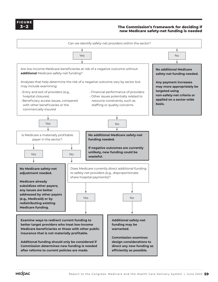

#### **The Commission's framework for deciding if new Medicare safety-net funding is needed XXXX FIGURE**

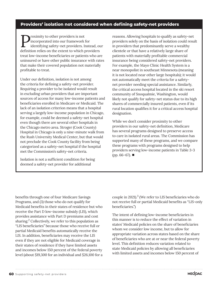### **Providers' isolation not considered when defining safety-net providers**

**P**roximity to other providers is not<br>identifying safety-net providers. In<br>definition relige on the sutant to which r incorporated into our framework for identifying safety-net providers. Instead, our definition relies on the extent to which providers treat low-income beneficiaries or patients who are uninsured or have other public insurance with rates that make their covered population not materially profitable to treat.

Under our definition, isolation is not among the criteria for defining a safety-net provider. Requiring a provider to be isolated would result in excluding urban providers that are important sources of access for many low-income patients and beneficiaries enrolled in Medicare or Medicaid. The lack of an isolation criterion means that a hospital serving a largely low-income population in Chicago, for example, could be deemed a safety-net hospital even though there are several other hospitals in the Chicago metro area. Stroger (Cook County) Hospital in Chicago is only a nine-minute walk from the Rush University Medical Center, but that would not preclude the Cook County facility from being categorized as a safety-net hospital if the hospital met the Commission's safety-net criteria.

Isolation is not a sufficient condition for being deemed a safety-net provider for additional

reasons. Allowing hospitals to qualify as safety-net providers solely on the basis of isolation could result in providers that predominantly serve a wealthy clientele or that have a relatively large share of patients with materially profitable commercial insurance being considered safety-net providers. For example, the Mayo Clinic Health System is a near monopolist in southeast Minnesota (meaning it is not located near other large hospitals); it would not automatically meet the criteria for a safetynet provider needing special assistance. Similarly, the critical access hospital located in the ski resort community of Snoqualmie, Washington, would likely not qualify for safety-net status due to its high shares of commercially insured patients, even if its rural location qualifies it for a critical access hospital designation.

While we don't consider proximity to other providers in our safety-net definition, Medicare has several programs designed to preserve access to care in isolated rural areas. The Commission has supported many of these programs, and we compare these programs with programs designed to help providers serving low-income patients in Table 3-3 (pp. 66–67). ■

benefits through one of four Medicare Savings Programs, and (3) those who do not qualify for Medicaid benefits in their states of residence but who receive the Part D low-income subsidy (LIS), which provides assistance with Part D premiums and cost sharing.<sup>2</sup> Collectively, we refer to this population as "LIS beneficiaries" because those who receive full or partial Medicaid benefits automatically receive the LIS. In addition, beneficiaries may receive the LIS even if they are not eligible for Medicaid coverage in their states of residence if they have limited assets and incomes below 150 percent of the federal poverty level (about \$19,300 for an individual and \$26,100 for a

couple in 2021). $3$  (We refer to LIS beneficiaries who do not receive full or partial Medicaid benefits as "LIS-only beneficiaries.")

The intent of defining low-income beneficiaries in this manner is to reduce the effect of variation in states' Medicaid policies on the share of beneficiaries whom we consider low income, but to allow for appropriate variation across states based on the share of beneficiaries who are at or near the federal poverty level. This definition reduces variation related to state Medicaid policies by allowing all beneficiaries with limited assets and incomes below 150 percent of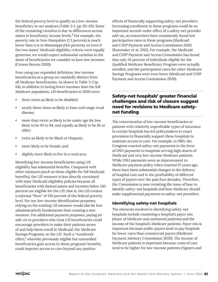the federal poverty level to qualify as a low-income beneficiary in our analyses (Table 3-1, pp. 62–63). Some of the remaining variation is due to differences across states in beneficiary income levels.<sup>4</sup> For example, the poverty rate in New Hampshire (7.3 percent) is much lower than it is in Mississippi (19.6 percent), so even if the two states' Medicaid eligibility criteria were equally generous, we would expect substantial variation in the share of beneficiaries we consider to have low incomes (Census Bureau 2020).

Even using our expanded definition, low-income beneficiaries as a group are markedly distinct from all Medicare beneficiaries. As shown in Table 3-2 (p. 64), in addition to having lower incomes than the full Medicare population, LIS beneficiaries in 2020 were:

- three times as likely to be disabled;
- nearly three times as likely to have end-stage renal disease;
- more than twice as likely to be under age 64, less likely to be 65 to 84, and equally as likely to be 85 or older;
- twice as likely to be Black or Hispanic;
- more likely to be female; and
- slightly more likely to live in a rural area.

Identifying low-income beneficiaries using LIS eligibility has substantial benefits. Compared with other measures (such as those eligible for full Medicaid benefits), the LIS measure is less directly correlated with state Medicaid eligibility policies because all beneficiaries with limited assets and incomes below 150 percent are eligible for the LIS; that is, the LIS creates a national "floor" of 150 percent of the federal poverty level. For our low-income identification purposes, relying on the existing LIS measure would also be less administratively burdensome than creating a new measure. For additional payment purposes, paying an add-on to providers who treat LIS beneficiaries could encourage providers to make their patients aware of and help them enroll in Medicaid, the Medicare Savings Programs, or the LIS. Such a "woodwork effect," whereby previously eligible but unenrolled beneficiaries gain access to these programs' benefits, could improve access to care beyond any positive

effects of financially supporting safety-net providers. Increasing enrollment in these programs could be an important second-order effect of a safety-net provider add-on, as researchers have consistently found low participation rates in these programs (Medicaid and CHIP Payment and Access Commission 2020, Shoemaker et al. 2012). For example, the Medicaid and CHIP Payment and Access Commission has found that only 53 percent of individuals eligible for the Qualified Medicare Beneficiary Program were actually enrolled, and the participation rates for other Medicare Savings Programs were even lower (Medicaid and CHIP Payment and Access Commission 2020).

## **Safety-net hospitals' greater financial challenges and risk of closure suggest need for revisions to Medicare safetynet funding**

The concentration of low-income beneficiaries or patients with relatively unprofitable types of insurance in certain hospitals has led policymakers to enact provisions to financially support these hospitals to maintain access to care. For example, in 1985, the Congress enacted safety-net payments in the form of DSH payments to hospitals serving high shares of Medicaid and very low-income Medicare patients. While DSH payments were an improvement to Medicare payment policy when enacted 37 years ago, there have been substantial changes in the delivery of hospital care and in the profitability of different types of payers over the past four decades. Therefore, the Commission is now revisiting the issue of how to identify safety-net hospitals and how Medicare should make supplemental payments to safety-net providers.

#### **Identifying safety-net hospitals**

The elements involved in identifying safety-net hospitals include examining a hospital's payer mix (share of Medicare and uninsured patients) and the income of the hospital's Medicare patients. Payer mix is important because public payers tend to pay hospitals far lower rates than commercial payers (Medicare Payment Advisory Commission 2020). The income of Medicare patients is important because costs of care tend to be higher for low-income patients (Nguyen and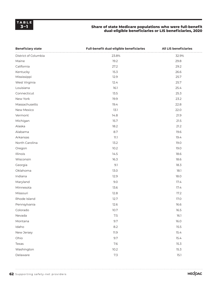#### **3–1 Share of state Medicare populations who were full-benefit dual-eligible beneficiaries or LIS beneficiaries, 2020**

| <b>Beneficiary state</b> | Full-benefit dual-eligible beneficiaries | <b>All LIS beneficiaries</b> |  |  |
|--------------------------|------------------------------------------|------------------------------|--|--|
| District of Columbia     | 23.8%                                    | 32.9%                        |  |  |
| Maine                    | 19.2                                     | 29.8                         |  |  |
| California               | 27.2                                     | 29.2                         |  |  |
| Kentucky                 | 15.3                                     | 26.6                         |  |  |
| Mississippi              | 12.9                                     | 25.7                         |  |  |
| West Virginia            | 12.4                                     | 25.7                         |  |  |
| Louisiana                | 16.1                                     | 25.4                         |  |  |
| Connecticut              | 13.5                                     | 25.3                         |  |  |
| New York                 | 19.9                                     | 23.2                         |  |  |
| Massachusetts            | 19.4                                     | 22.8                         |  |  |
| New Mexico               | 13.1                                     | 22.0                         |  |  |
| Vermont                  | 14.8                                     | 21.9                         |  |  |
| Michigan                 | 15.7                                     | 21.5                         |  |  |
| Alaska                   | 18.2                                     | 21.2                         |  |  |
| Alabama                  | 8.7                                      | 19.6                         |  |  |
| Arkansas                 | $11.1\,$                                 | 19.4                         |  |  |
| North Carolina           | 13.2                                     | 19.0                         |  |  |
| Oregon                   | 10.2                                     | 19.0                         |  |  |
| Illinois                 | 14.5                                     | 18.6                         |  |  |
| Wisconsin                | 16.3                                     | 18.6                         |  |  |
| Georgia                  | 9.1                                      | 18.3                         |  |  |
| Oklahoma                 | 13.0                                     | 18.1                         |  |  |
| Indiana                  | 12.9                                     | 18.0                         |  |  |
| Maryland                 | 9.0                                      | 17.4                         |  |  |
| Minnesota                | 13.6                                     | 17.4                         |  |  |
| Missouri                 | 12.8                                     | 17.2                         |  |  |
| Rhode Island             | 12.7                                     | 17.0                         |  |  |
| Pennsylvania             | 12.6                                     | 16.6                         |  |  |
| Colorado                 | 10.7                                     | 16.5                         |  |  |
| Nevada                   | 7.5                                      | 16.1                         |  |  |
| Montana                  | 9.7                                      | 16.0                         |  |  |
| Idaho                    | 8.2                                      | 15.5                         |  |  |
| New Jersey               | 11.9                                     | 15.4                         |  |  |
| Ohio                     | 9.7                                      | 15.4                         |  |  |
| Texas                    | 7.6                                      | 15.3                         |  |  |
| Washington               | 10.2                                     | 15.3                         |  |  |
| Delaware                 | 7.3                                      | 15.1                         |  |  |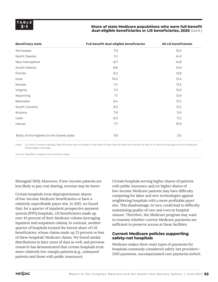#### **Share of state Medicare populations who were full-benefit dual-eligible beneficiaries or LIS beneficiaries, 2020** *(cont.)*

| <b>Beneficiary state</b>                 | Full-benefit dual-eligible beneficiaries | <b>All LIS beneficiaries</b> |
|------------------------------------------|------------------------------------------|------------------------------|
| Tennessee                                | 7.9                                      | 15.0                         |
| North Dakota                             | 11.1                                     | 14.9                         |
| New Hampshire                            | 8.7                                      | 14.8                         |
| South Dakota                             | 8.6                                      | 14.6                         |
| Florida                                  | 8.2                                      | 13.8                         |
| lowa                                     | 10.0                                     | 13.4                         |
| Kansas                                   | 7.4                                      | 13.3                         |
| Virginia                                 | 7.3                                      | 12.9                         |
| Wyoming                                  | 7.1                                      | 12.9                         |
| Nebraska                                 | 9.4                                      | 12.2                         |
| South Carolina                           | 8.3                                      | 12.2                         |
| Arizona                                  | 7.9                                      | 11.6                         |
| Utah                                     | 8.3                                      | 11.2                         |
| Hawaii                                   | 7.7                                      | 10.9                         |
|                                          | 3.8                                      | 3.0                          |
| Ratio of the highest to the lowest state |                                          |                              |

Note: LIS (low-income subsidy). Beneficiaries are included in the table if they had at least one month of Part A or Part B coverage and no Medicare Advantage coverage.

Source: MedPAC analysis of enrollment data.

Sheingold 2011). Moreover, if low-income patients are less likely to pay cost sharing, revenue may be lower.

Certain hospitals treat disproportionate shares of low-income Medicare beneficiaries or have a relatively unprofitable payer mix. In 2015, we found that, for a quarter of inpatient prospective payment system (IPPS) hospitals, LIS beneficiaries made up over 43 percent of their Medicare volume (averaging inpatient and outpatient claims). In contrast, another quarter of hospitals treated the lowest share of LIS beneficiaries, whose claims made up 23 percent or less of these hospitals' Medicare claims. We found similar distributions in later years of data as well, and previous research has demonstrated that certain hospitals treat more relatively low-margin patients (e.g., uninsured patients and those with public insurance).

Certain hospitals serving higher shares of patients with public insurance and/or higher shares of low-income Medicare patients may have difficulty competing for labor and new technologies against neighboring hospitals with a more profitable payer mix. This disadvantage, in turn, could lead to difficulty maintaining quality of care and even to hospital closure. Therefore, the Medicare program may want to examine whether current Medicare payments are sufficient to preserve access at these facilities.

#### **Current Medicare policies supporting safety-net hospitals**

Medicare makes three main types of payments for hospitals commonly considered safety-net providers— DSH payments, uncompensated care payments (which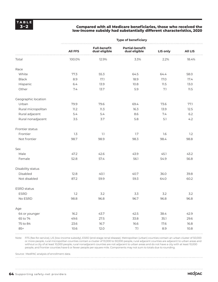#### **3–2 Compared with all Medicare beneficiaries, those who received the low-income subsidy had substantially different characteristics, 2020**

|                     | <b>Type of beneficiary</b> |                                      |                                         |          |                |  |  |  |  |  |
|---------------------|----------------------------|--------------------------------------|-----------------------------------------|----------|----------------|--|--|--|--|--|
|                     | <b>All FFS</b>             | <b>Full-benefit</b><br>dual eligible | <b>Partial-benefit</b><br>dual eligible | LIS only | <b>All LIS</b> |  |  |  |  |  |
| Total               | 100.0%                     | 12.9%                                | 3.3%                                    | 2.2%     | 18.4%          |  |  |  |  |  |
| Race                |                            |                                      |                                         |          |                |  |  |  |  |  |
| White               | 77.3                       | 55.3                                 | 64.5                                    | 64.4     | 58.0           |  |  |  |  |  |
| <b>Black</b>        | 8.9                        | 17.1                                 | 18.9                                    | 17.0     | 17.4           |  |  |  |  |  |
| Hispanic            | 6.4                        | 13.9                                 | 10.8                                    | 11.5     | 13.0           |  |  |  |  |  |
| Other               | 7.4                        | 13.7                                 | 5.9                                     | 7.1      | 11.5           |  |  |  |  |  |
| Geographic location |                            |                                      |                                         |          |                |  |  |  |  |  |
| Urban               | 79.9                       | 79.6                                 | 69.4                                    | 73.6     | 77.1           |  |  |  |  |  |
| Rural micropolitan  | 11.2                       | 11.3                                 | 16.3                                    | 13.9     | 12.5           |  |  |  |  |  |
| Rural adjacent      | 5.4                        | 5.4                                  | 8.6                                     | 7.4      | 6.2            |  |  |  |  |  |
| Rural nonadjacent   | 3.5                        | 3.7                                  | 5.8                                     | 5.1      | 4.2            |  |  |  |  |  |
| Frontier status     |                            |                                      |                                         |          |                |  |  |  |  |  |
| Frontier            | 1.3                        | 1.1                                  | 1.7                                     | 1.6      | 1.2            |  |  |  |  |  |
| Not frontier        | 98.7                       | 98.9                                 | 98.3                                    | 98.4     | 98.8           |  |  |  |  |  |
| Sex                 |                            |                                      |                                         |          |                |  |  |  |  |  |
| Male                | 47.2                       | 42.6                                 | 43.9                                    | 45.1     | 43.2           |  |  |  |  |  |
| Female              | 52.8                       | 57.4                                 | 56.1                                    | 54.9     | 56.8           |  |  |  |  |  |
| Disability status   |                            |                                      |                                         |          |                |  |  |  |  |  |
| Disabled            | 12.8                       | 40.1                                 | 40.7                                    | 36.0     | 39.8           |  |  |  |  |  |
| Not disabled        | 87.2                       | 59.9                                 | 59.3                                    | 64.0     | 60.2           |  |  |  |  |  |
| <b>ESRD</b> status  |                            |                                      |                                         |          |                |  |  |  |  |  |
| <b>ESRD</b>         | 1.2                        | 3.2                                  | 3.3                                     | 3.2      | 3.2            |  |  |  |  |  |
| No ESRD             | 98.8                       | 96.8                                 | 96.7                                    | 96.8     | 96.8           |  |  |  |  |  |
| Age                 |                            |                                      |                                         |          |                |  |  |  |  |  |
| 64 or younger       | 16.2                       | 43.7                                 | 42.5                                    | 38.4     | 42.9           |  |  |  |  |  |
| 65 to 74            | 49.6                       | 27.5                                 | 33.8                                    | 35.1     | 29.6           |  |  |  |  |  |
| 75 to 84            | 23.6                       | 16.7                                 | 16.6                                    | 17.6     | 16.8           |  |  |  |  |  |
| $85+$               | 10.6                       | 12.0                                 | 7.1                                     | 8.9      | 10.8           |  |  |  |  |  |

Note: FFS (fee-for-service), LIS (low-income subsidy), ESRD (end-stage renal disease). Metropolitan (urban) counties contain an urban cluster of 50,000 or more people, rural micropolitan counties contain a cluster of 10,000 to 50,000 people, rural adjacent counties are adjacent to urban areas and without a city of at least 10,000 people, rural nonadjacent counties are not adjacent to urban areas and do not have a city with at least 10,000 people, and frontier counties have 6 or fewer people per square mile. Components may not sum to totals due to rounding.

Source: MedPAC analysis of enrollment data.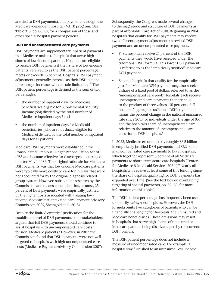are tied to DSH payments), and payments through the Medicare-dependent hospital (MDH) program. (See Table 3-3, pp. 66–67, for a comparison of these and other special hospital payment policies.)

#### **DSH and uncompensated care payments**

DSH payments are supplementary inpatient payments that Medicare makes to hospitals that serve high shares of low-income patients. Hospitals are eligible to receive DSH payments if their share of low-income patients, referred to as the DSH patient percentage, meets or exceeds 15 percent. Hospitals' DSH payment adjustments generally increase as their DSH patient percentages increase, with certain limitations. $^{\rm 5}$  The DSH patient percentage is defined as the sum of two percentages:

- the number of inpatient days for Medicare beneficiaries eligible for Supplemental Security Income (SSI) divided by the total number of Medicare inpatient days, $6$  and
- the number of inpatient days for Medicaid beneficiaries (who are not dually eligible for Medicare) divided by the total number of inpatient days for all patients.

Medicare DSH payments were established in the Consolidated Omnibus Budget Reconciliation Act of 1985 and became effective for discharges occurring on or after May 1, 1986. The original rationale for Medicare DSH payments was that low-income Medicare patients were typically more costly to care for in ways that were not accounted for by the original diagnosis related group system. However, subsequent research by the Commission and others concluded that, at most, 25 percent of DSH payments were empirically justified by the higher costs associated with treating lowincome Medicare patients (Medicare Payment Advisory Commission 2007, Sheingold et al. 2016).

Despite the limited empirical justification for the established level of DSH payments, some stakeholders argued that full DSH payments should continue to assist hospitals with uncompensated care costs for non-Medicare patients.<sup>7</sup> However, in 2007, the Commission found that DSH payments were not well targeted to hospitals with high uncompensated care costs (Medicare Payment Advisory Commission 2007).

Subsequently, the Congress made several changes to the magnitude and structure of DSH payments as part of Affordable Care Act of 2010. Beginning in 2014, hospitals that qualify for DSH payments may receive two different payment adjustments: a revised DSH payment and an uncompensated care payment.

- First, hospitals receive 25 percent of the DSH payments they would have received under the traditional DSH formula. This lower DSH payment is referred to as the "empirically justified" Medicare DSH payment.
- Second, hospitals that qualify for the empirically justified Medicare DSH payment may also receive a share of a fixed pool of dollars referred to as the "uncompensated care pool." Hospitals each receive uncompensated care payments that are equal to the product of three values—75 percent of all hospitals' aggregate traditional DSH payments, 1 minus the percent change in the national uninsured rate since 2013 for individuals under the age of 65, and the hospital's share of uncompensated care relative to the amount of uncompensated care costs for all DSH hospitals.<sup>8</sup>

In 2022, Medicare expects to pay roughly \$3.5 billion in empirically justified DSH payments and \$7.2 billion in uncompensated care payments to IPPS hospitals, which together represent 6 percent of all Medicare payments to short-term acute care hospitals (Centers for Medicare & Medicaid Services 2021b).<sup>9</sup> Nearly all hospitals will receive at least some of this funding since the share of hospitals qualifying for DSH payments has expanded over time. (See the text box on maintaining targeting of special payments, pp. 68–69, for more information on this topic.)

The DSH patient percentage has frequently been used to identify safety-net hospitals. However, the DSH formula omits two categories of patients who can be financially challenging for hospitals: the uninsured and Medicare beneficiaries. These omissions may result in hospitals that serve high shares of uninsured or Medicare patients being disadvantaged by the current DSH formula.

The DSH patient percentage does not include a measure of uncompensated care. For example, a hospital stay furnished to an uninsured, low-income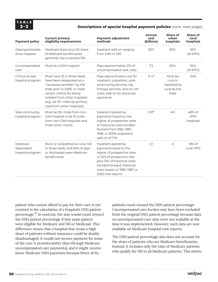#### **3–3 Descriptions of special hospital payment policies** *(cont. next page)*

| <b>Payment policy</b>                      | <b>Current primary</b><br>eligibility requirements                                                                                                                                                                                                     | <b>Payment adjustment</b><br>methods                                                                                                                                                                                           | <b>Annual</b><br>cost<br>(billions) | Share of<br>urban<br>hospitals                                | Share of<br>rural<br>hospitals     |
|--------------------------------------------|--------------------------------------------------------------------------------------------------------------------------------------------------------------------------------------------------------------------------------------------------------|--------------------------------------------------------------------------------------------------------------------------------------------------------------------------------------------------------------------------------|-------------------------------------|---------------------------------------------------------------|------------------------------------|
| Disproportionate<br>share hospital         | Medicaid share plus SSI share<br>of Medicare beneficiaries<br>generally has to exceed 15%                                                                                                                                                              | Inpatient add-on ranging<br>from 0.6% to 19%                                                                                                                                                                                   | \$3.5                               | 82%                                                           | 92%<br>(of IPPS)                   |
| Uncompensated<br>care                      | Must be a DSH hospital                                                                                                                                                                                                                                 | Pays approximately 21% of<br>uncompensated care costs                                                                                                                                                                          | 7.2                                 | 82%                                                           | 92%<br>(of IPPS)                   |
| Critical access<br>hospital program        | Must have 25 or fewer beds,<br>have been designated as a<br>"necessary provider" by the<br>state prior to 2006, or meet<br>certain criteria for being<br>isolated from other hospitals<br>(e.g., be 35+ miles by primary<br>road from other hospitals) | Pays approximately cost for<br>inpatient, outpatient, post-<br>acute swing services, lab,<br>therapy services, and on-call<br>costs; add-on for physician<br>payments                                                          | $3 - 4^a$                           | Must be<br>rural or<br>classified as<br>rural by the<br>state | 64%                                |
| Sole community<br>hospital program         | Must be 35+ miles from non-<br>CAH hospital or be 15 miles<br>from non-CAH hospitals and<br>meet other criteria                                                                                                                                        | Inpatient operating<br>payments based on the<br>higher of prospective rates<br>or historical costs trended<br>forward from 1982, 1987,<br>1996, or 2006; outpatient<br>add-on of 7.1%                                          | 0.8 <sup>b</sup>                    | 4%                                                            | 48% of<br><b>IPPS</b><br>hospitals |
| Medicare-<br>dependent<br>hospital program | Rural or reclassified as rural, 100<br>or fewer beds, and 60% of days<br>or discharges were Medicare<br>beneficiaries                                                                                                                                  | Inpatient operating<br>payments equal to the<br>higher of prospective rates<br>or 25% of prospective rate<br>plus 75% of historical costs<br>trended forward; historical<br>costs based on 1982, 1987, or<br>2002 cost reports | O.1                                 | $\circ$                                                       | 18% of<br>rural IPPS               |

patient who cannot afford to pay for their care is not counted in the calculation of a hospital's DSH patient percentage.10 In contrast, the stay would count toward the DSH patient percentage if that same patient were eligible for Medicare and SSI or Medicaid. This difference means that a hospital that treats a high share of patients without insurance could be doubly disadvantaged: It would not receive payment for some of the care it provides (other than through Medicare uncompensated care payments), and it might receive lower Medicare DSH payments because fewer of its

patients count toward the DSH patient percentage. Uncompensated care burden may have been excluded from the original DSH patient percentage because data on uncompensated care data were not available at the time it was implemented. However, such data are now available on Medicare hospital cost reports.

The DSH patient percentage also does not account for the share of patients who are Medicare beneficiaries. Instead, it includes only the ratio of Medicare patients who qualify for SSI to all Medicare patients. This metric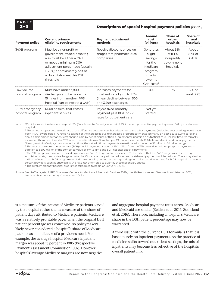#### **3–3 Descriptions of special hospital payment policies** *(cont.)*

| <b>Payment policy</b>               | <b>Current primary</b><br>eligibility requirements                                                                                                                                                                         | <b>Payment adjustment</b><br>methods                                                                           | <b>Annual</b><br>cost<br>(billions)                                                                             | Share of<br>urban<br>hospitals                                | Share of<br>rural<br>hospitals |
|-------------------------------------|----------------------------------------------------------------------------------------------------------------------------------------------------------------------------------------------------------------------------|----------------------------------------------------------------------------------------------------------------|-----------------------------------------------------------------------------------------------------------------|---------------------------------------------------------------|--------------------------------|
| 340B program                        | Must be a nonprofit or<br>government-owned hospital;<br>also must be either a CAH<br>or meet a minimum DSH<br>adjustment percentage (usually<br>11.75%); approximately half of<br>all hospitals meet this DSH<br>threshold | Receive discount prices on<br>drugs from pharmaceutical<br>companies                                           | Generates<br>slight<br>savings<br>for the<br>Medicare<br>program<br>due to<br>lowering<br>$CAH \text{ costs}^C$ | About 55%<br>of IPPS<br>nonprofit/<br>government<br>hospitals | About<br>87% of<br>CAHS        |
| Low-volume<br>hospital program      | Must have under 3,800<br>discharges and be more than<br>15 miles from another IPPS<br>hospital (can be next to a CAH)                                                                                                      | Increases payments for<br>inpatient care by up to 25%<br>(linear decline between 500)<br>and 3,799 discharges) | 0.4                                                                                                             | 6%                                                            | $61%$ of<br>rural IPPS         |
| Rural emergency<br>hospital program | Rural hospital that ceases<br>inpatient services                                                                                                                                                                           | Pays a fixed monthly<br>payment plus 105% of PPS<br>rates for outpatient care                                  | Not yet<br>started <sup>d</sup>                                                                                 |                                                               |                                |

Note: DSH (disproportionate share hospital), SSI (Supplemental Security Income), IPPS (inpatient prospective payment system), CAH (critical access hospital).

a This amount represents an estimate of the difference between cost-based payments and what payments (including cost sharing) would have been if CAHs were paid PPS rates. About half of the increase is due to increased program payments (primarily on post-acute swing care) and about half is higher outpatient cost sharing paid by beneficiaries or their supplemental insurers on outpatient care. The last time we formally estimated this amount was for 2011, when the estimate was \$2 million per CAH or approximately \$2.6 billion dollars in additional payments. Given growth in CAH payments since that time, the net additional payments are estimated to be in the \$3 billion to \$4 billion range. b The cost of sole community hospital (SCH) special payments is about \$250 million from the 7.1% outpatient add-on program payments in addition to \$600 million of the combined value of low-volume and SCH hospital–specific payments.

c The CAH program makes cost-based payments for Part B drugs and other services. To the extent that the 340B program reduces drug acquisition costs, the cost-to-charge ratio for the CAH's pharmacy will be reduced and cost-based payments will be reduced. There may also be indirect effects of the 340B program on Medicare spending and other payer spending due to increased incentives for 340B hospitals to acquire certain providers, such as oncologists. We have not attempted to quantify those secondary effects.

d The rural emergency hospital program is scheduled to begin on January 1, 2023.

Source: MedPAC analysis of IPPS final rules (Centers for Medicare & Medicaid Services 2021a, Health Resources and Services Administration 2021, Medicare Payment Advisory Commission 2005a).

is a measure of the income of Medicare patients served by the hospital rather than a measure of the share of patient days attributed to Medicare patients. Medicare was a relatively profitable payer when the original DSH patient percentage was conceived, so policymakers likely never considered a hospital's share of Medicare patients as an indicator of a provider's need. For example, the average hospital Medicare inpatient margin was about 13 percent in 1985 (Prospective Payment Assessment Commission 1997). However, hospitals' average Medicare margins are now negative,

and aggregate hospital payment rates across Medicare and Medicaid are similar (Selden et al. 2015, Stensland et al. 2016). Therefore, including a hospital's Medicare share in the DSH patient percentage may now be warranted.

A third issue with the current DSH formula is that it is based purely on inpatient payments. As the practice of medicine shifts toward outpatient settings, the mix of inpatients may become less reflective of the hospitals' overall patient mix.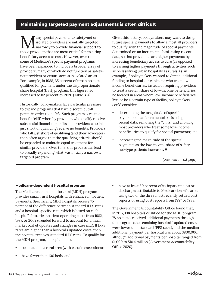### **Maintaining targeted payment adjustments is often difficult**

Many special payments to safety-net or<br>
narrowly to provide financial support to<br>
these previders that are mest exitied for appuring isolated providers are initially targeted those providers that are most critical for ensuring beneficiary access to care. However, over time, some of Medicare's special payment programs have been expanded to include a broader array of providers, many of which do not function as safetynet providers or ensure access in isolated areas. For example, in 1988, 35 percent of urban hospitals qualified for payment under the disproportionate share hospital (DSH) program; this figure had increased to 82 percent by 2020 (Table 3-4).

Historically, policymakers face particular pressure to expand programs that have discrete cutoff points in order to qualify. Such programs create a benefit "cliff" whereby providers who qualify receive substantial financial benefits and providers who fall just short of qualifying receive no benefits. Providers who fall just short of qualifying (and their advocates) then often argue that the qualifying criteria should be expanded to maintain equal treatment for similar providers. Over time, this process can lead to broadly expanding what was initially a narrowly targeted program.

Given this history, policymakers may want to design future special payments to allow almost all providers to qualify, with the magnitude of special payments determined on an incremental basis using recent data, so that providers earn higher payments by increasing beneficiary access to care (as opposed to earning higher payments through activities such as reclassifying urban hospitals as rural). As an example, if policymakers wanted to direct additional funding to hospitals or clinicians who treat lowincome beneficiaries, instead of requiring providers to treat a certain share of low-income beneficiaries, be located in areas where low-income beneficiaries live, or be a certain type of facility, policymakers could consider:

- determining the magnitude of special payments on an incremental basis using recent data, removing the "cliffs," and allowing most providers who treat some low-income beneficiaries to qualify for special payments; and
- increasing the magnitude of the special payments as the low-income share of safetynet-type patients increases. ■

*(continued next page)*

#### **Medicare-dependent hospital program**

The Medicare-dependent hospital (MDH) program provides small, rural hospitals with enhanced inpatient payments. Specifically, MDH hospitals receive 75 percent of the difference between standard IPPS rates and a hospital-specific rate, which is based on each hospital's historic inpatient operating costs from 1982, 1987, or 2002 (trended forward to account for annual market basket updates and changes in case mix). If IPPS rates are higher than a hospital's updated costs, then the hospital receives standard IPPS rates. To qualify for the MDH program, a hospital must:

- be located in a rural area (with certain exceptions);
- have fewer than 100 beds; and

have at least 60 percent of its inpatient days or discharges attributable to Medicare beneficiaries using two of the three most recently settled cost reports or using cost reports from 1987 or 1988.

The Government Accountability Office found that, in 2017, 138 hospitals qualified for the MDH program, 78 hospitals received additional payments through the program (the remaining hospitals' updated costs were lower than standard IPPS rates), and the median additional payment per hospital was about \$800,000, although additional payments per hospital ranged from \$1,000 to \$10.4 million (Government Accountability Office 2020).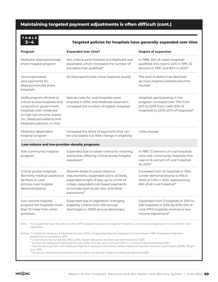## **Maintaining targeted payment adjustments is often difficult (cont.)**

| TABLE |     |  |
|-------|-----|--|
|       | 3–4 |  |

#### **3–4 Targeted policies for hospitals have generally expanded over time**

| Program                                                                                                                                                                                                                                                                                                                                                                                                                                                                                                                                                                    | <b>Expanded over time?</b>                                                                                                                                                                                              | <b>Degree of expansion</b>                                                                                                                                   |  |  |  |  |  |  |  |
|----------------------------------------------------------------------------------------------------------------------------------------------------------------------------------------------------------------------------------------------------------------------------------------------------------------------------------------------------------------------------------------------------------------------------------------------------------------------------------------------------------------------------------------------------------------------------|-------------------------------------------------------------------------------------------------------------------------------------------------------------------------------------------------------------------------|--------------------------------------------------------------------------------------------------------------------------------------------------------------|--|--|--|--|--|--|--|
| Medicare disproportionate<br>share hospital program                                                                                                                                                                                                                                                                                                                                                                                                                                                                                                                        | Yes; criteria were lowered and Medicaid was<br>expanded, which increased the number of<br>providers that qualified <sup>a</sup>                                                                                         | In 1988, 35% of urban hospitals<br>qualified; this rose to 42% in 1991, 52<br>percent in 1997, and 82% in 2020 <sup>a</sup>                                  |  |  |  |  |  |  |  |
| Uncompensated<br>care payments for<br>disproportionate share<br>hospitals                                                                                                                                                                                                                                                                                                                                                                                                                                                                                                  | All disproportionate share hospitals qualify                                                                                                                                                                            | The pool of dollars has declined<br>as more hospital patients become<br>insured                                                                              |  |  |  |  |  |  |  |
| 340B program (limited to<br>critical access hospitals and<br>nonprofit or government<br>hospitals with moderate<br>or high low-income shares<br>(i.e., Medicaid patients and<br>Medicare patients on SSI))                                                                                                                                                                                                                                                                                                                                                                 | Special rules for rural hospitals were<br>enacted in 2010, and Medicaid expansion<br>increased the number of eligible hospitals                                                                                         | Hospitals participating in the<br>program increased over 70% from<br>2011 to 2019, from 1,465 (33% of<br>hospitals) to 2,574 (57% of hospitals) <sup>b</sup> |  |  |  |  |  |  |  |
| Medicare-dependent<br>hospital program                                                                                                                                                                                                                                                                                                                                                                                                                                                                                                                                     | Increased the share of payments that can<br>be cost based, but little change in eligibility                                                                                                                             | Little change                                                                                                                                                |  |  |  |  |  |  |  |
| Low-volume and low-provider-density programs                                                                                                                                                                                                                                                                                                                                                                                                                                                                                                                               |                                                                                                                                                                                                                         |                                                                                                                                                              |  |  |  |  |  |  |  |
| Sole community hospital<br>program                                                                                                                                                                                                                                                                                                                                                                                                                                                                                                                                         | Expanded due to looser criteria for entering,<br>somewhat offset by critical access hospital<br>expansion <sup>c</sup>                                                                                                  | In 1987, 12 percent of rural hospitals<br>were sole community hospitals; this<br>rose to 16 percent of rural hospitals<br>by $2020^{\circ}$                  |  |  |  |  |  |  |  |
| Critical access hospitals<br>(formerly medical assistance<br>facilities or rural<br>primary care hospital<br>demonstrations)                                                                                                                                                                                                                                                                                                                                                                                                                                               | Allowed states to waive distance<br>requirements, expanded size to 25 beds,<br>expanded length of stay up to a limit of<br>4 days, expanded cost-based payments<br>to include post-acute care, and other<br>expansionsd | Increased from 16 hospitals in 1994<br>(under demonstrations) to 916 in<br>2004 to 1,353 in 2021, representing<br>65% of all rural hospitals <sup>d</sup>    |  |  |  |  |  |  |  |
| Low-volume hospital<br>program for hospitals more<br>than 15 miles from other<br>providers                                                                                                                                                                                                                                                                                                                                                                                                                                                                                 | Expanded due to legislation changing<br>eligibility criteria from 200 annual<br>discharges to 3,800 annual discharges                                                                                                   | Expanded from 3 hospitals in 2010 to<br>626 hospitals in 2019; by 2019, 61% of<br>rural IPPS hospitals received a low-<br>volume adjustment <sup>e</sup>     |  |  |  |  |  |  |  |
| Note:<br>payments.                                                                                                                                                                                                                                                                                                                                                                                                                                                                                                                                                         | SSI (Supplementary Security Income), IPPS (inpatient prospective payment system). Critical access hospitals do not qualify for DSH                                                                                      |                                                                                                                                                              |  |  |  |  |  |  |  |
| Source: <sup>a</sup> Centers for Medicare & Medicaid Services 2021a, Prospective Payment Assessment Commission 1998, Prospective Payment<br>Assessment Commission 1997.<br><sup>b</sup> Government Accountability Office 2018, Health Resources and Services Administration 2021.<br><sup>c</sup> Centers for Medicare & Medicaid Services 2021a, Freiman and Cromwell 1987, U.S. House of Representatives 1985.<br><sup>d</sup> Flex Monitoring Team 2021, Medicare Payment Advisory Commission 2005a, Medicare Payment Advisory Commission 2005b, Wright<br>et al. 1995. |                                                                                                                                                                                                                         |                                                                                                                                                              |  |  |  |  |  |  |  |

e Centers for Medicare & Medicaid Services 2021a, Centers for Medicare & Medicaid Services 2009.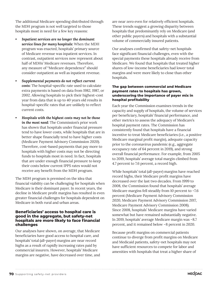The additional Medicare spending distributed through the MDH program is not well targeted to those hospitals most in need for a few key reasons:

- *• Inpatient services are no longer the dominant service lines for many hospitals:* When the MDH program was enacted, hospitals' primary source of Medicare revenue was inpatient services. In contrast, outpatient services now represent about half of MDHs' Medicare revenues. Therefore, any measure of "Medicare dependence" should consider outpatient as well as inpatient revenue.
- *• Supplemental payments do not reflect current costs:* The hospital-specific rate used to calculate extra payments is based on data from 1982, 1987, or 2002. Allowing hospitals to pick their highest-cost year from data that is up to 40 years old results in hospital-specific rates that are unlikely to reflect current costs.
- *• Hospitals with the highest costs may not be those in the most need:* The Commission's prior work has shown that hospitals under financial pressure tend to have lower costs, while hospitals that are in better shape financially tend to have higher costs (Medicare Payment Advisory Commission 2020). Therefore, cost-based payments that pay more to hospitals with higher costs may not be directing funds to hospitals most in need. In fact, hospitals that are under enough financial pressure to keep their costs below current IPPS rates would not receive any benefit from the MDH program.

The MDH program is premised on the idea that financial viability can be challenging for hospitals when Medicare is their dominant payer. In recent years, the decline in Medicare profit margins has resulted in even greater financial challenges for hospitals dependent on Medicare in both rural and urban areas.

#### **Beneficiaries' access to hospital care is good in the aggregate, but safety-net hospitals are more likely to face financial challenges**

Our analyses have shown, on average, that Medicare beneficiaries have good access to hospital care, and hospitals' total (all-payer) margins are near record highs as a result of rapidly increasing rates paid by commercial insurers. However, hospitals' Medicare margins are negative, have decreased over time, and are near zero even for relatively efficient hospitals. These trends suggest a growing disparity between hospitals that predominantly rely on Medicare (and other public payers) and hospitals with a substantial volume of commercially insured patients.

Our analyses confirmed that safety-net hospitals face significant financial challenges, even with the special payments these hospitals already receive from Medicare. We found that hospitals that treated higher shares of low-income beneficiaries had lower total margins and were more likely to close than other hospitals.

#### **The gap between commercial and Medicare payment rates to hospitals has grown, underscoring the importance of payer mix in hospital profitability**

Each year the Commission examines trends in the capacity and supply of hospitals, the volume of services per beneficiary, hospitals' financial performance, and other metrics to assess the adequacy of Medicare's hospital payment rates. The Commission has consistently found that hospitals have a financial incentive to treat Medicare beneficiaries (i.e., a positive Medicare marginal profit margin), adequate capacity prior to the coronavirus pandemic (e.g., aggregate occupancy rate of 64 percent in 2019), and strong overall financial performance. For example, from 2005 to 2019, hospitals' average total margin climbed from 4.7 percent to 7.6 percent, a record high.

While hospitals' total (all-payer) margins have reached record highs, their Medicare profit margins have decreased over the last two decades. From 1999 to 2008, the Commission found that hospitals' average Medicare margins fell steadily from 10 percent to –7.6 percent (Medicare Payment Advisory Commission 2020, Medicare Payment Advisory Commission 2017, Medicare Payment Advisory Commission 2008). Since 2008, hospitals' Medicare margins have varied somewhat but have remained substantially negative. In 2019, hospitals' average Medicare margin was –8.7 percent, and it remained below –8 percent in 2020.

Because profit margins on commercial patients continue to diverge from profit margins on Medicare and Medicaid patients, safety-net hospitals may not have sufficient resources to compete for labor and amenities with hospitals that treat a higher share of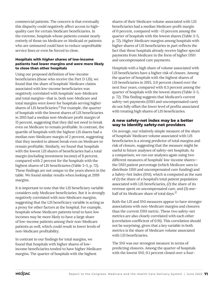commercial patients. The concern is that eventually this disparity could negatively affect access to highquality care for certain Medicare beneficiaries. In the extreme, hospitals whose patients consist nearly entirely of those on Medicare or Medicaid or patients who are uninsured could have to reduce unprofitable service lines or even be forced to close.

#### **Hospitals with higher shares of low-income patients had lower margins and were more likely to close than other hospitals**

Using our proposed definition of low-income beneficiaries (those who receive the Part D LIS), we found that the share of hospitals' Medicare claims associated with low-income beneficiaries was negatively correlated with hospitals' non-Medicare and total margins—that is, both non-Medicare and total margins were lower for hospitals serving higher shares of LIS beneficiaries.<sup>11</sup> For example, the quarter of hospitals with the lowest shares of LIS beneficiaries in 2015 had a median non-Medicare profit margin of 15 percent, suggesting that they did not need to break even on Medicare to remain profitable. In contrast, the quartile of hospitals with the highest LIS shares had a median non-Medicare margin of 2 percent, suggesting that they needed to almost break even on Medicare to remain profitable. Similarly, we found that hospitals with the lowest LIS shares of beneficiaries had a total margin (including investment income) of 8 percent, compared with 2 percent for the hospitals with the highest shares of LIS beneficiaries (Table 3-5, p. 72). These findings are not unique to the years shown in the table. We found similar results when looking at 2019 margins.

It is important to note that the LIS beneficiary variable considers only Medicare beneficiaries. But it is strongly negatively correlated with non-Medicare margins, suggesting that the LIS beneficiary variable is acting as a proxy for other factors at the hospital. For example, hospitals whose Medicare patients tend to have low incomes may be more likely to have a large share of low-income patients among their non-Medicare patients as well, which could result in lower levels of non-Medicare profitability.

In contrast to our findings for total margins, we found that hospitals with higher shares of lowincome beneficiaries tended to have higher Medicare margins. The quarter of hospitals with the highest

shares of their Medicare volume associated with LIS beneficiaries had a median Medicare profit margin of 0 percent, compared with –13 percent among the quarter of hospitals with the lowest shares (Table 3-5, p. 72). Higher Medicare margins among hospitals with higher shares of LIS beneficiaries in part reflects the fact that these hospitals already receive higher special payments from Medicare in the form of higher DSH and uncompensated care payments.

Hospitals with a high share of volume associated with LIS beneficiaries have a higher risk of closure. Among the quarter of hospitals with the highest shares of LIS beneficiaries in 2015, 3.0 percent closed over the next four years, compared with 0.3 percent among the quarter of hospitals with the lowest shares (Table 3-5, p. 72). This finding suggests that Medicare's current safety-net payments (DSH and uncompensated care) do not fully offset the lower level of profits associated with treating high shares of LIS beneficiaries.

#### **A new safety-net index may be a better way to identify safety-net providers**

On average, our relatively simple measure of the share of hospitals' Medicare volume associated with LIS beneficiaries is a strong predictor of total margins and risk of closure, suggesting that the measure might be useful in future analyses of safety-net hospitals. As a comparison, we ran our analyses again using two different measures of hospitals' low-income shares the DSH patient percentage (which Medicare uses to distribute DSH and uncompensated care funding) and a Safety-Net Index (SNI), which is computed as the sum of (1) the share of a hospital's total patient population associated with LIS beneficiaries, (2) the share of its revenue spent on uncompensated care, and (3) onehalf of its Medicare share of total days.<sup>12</sup>

Both the LIS and SNI measures appear to have stronger associations with non-Medicare margins and closures than the current DSH metric. These two safety-net metrics are also closely correlated with each other (correlation coefficient of 0.91). This correlation should not be surprising, given that a key variable in both metrics is the share of Medicare volume associated with LIS beneficiaries.

The SNI was our strongest measure in terms of predicting closures. Among the quarter of hospitals with the lowest SNI, 0.1 percent closed over a four-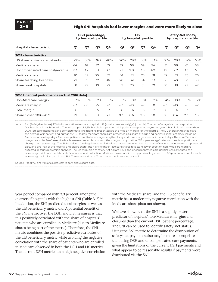#### **3–5 High SNI hospitals had lower margins and were more likely to close**

|                                               | DSH percentage,<br>by hospital quartile |                |      |      |       | LIS,           | by hospital quartile |          |       | Safety-Net Index,<br>by hospital quartile |      |      |  |
|-----------------------------------------------|-----------------------------------------|----------------|------|------|-------|----------------|----------------------|----------|-------|-------------------------------------------|------|------|--|
| <b>Hospital characteristic</b>                | Q1                                      | Q <sub>2</sub> | Q3   | Q4   | Q1    | Q <sub>2</sub> | Q <sub>3</sub>       | Ο4       | Q1    | Q <sub>2</sub>                            | Q3   | Ο4   |  |
| <b>2015 characteristics</b>                   |                                         |                |      |      |       |                |                      |          |       |                                           |      |      |  |
| LIS share of Medicare patients                | 22%                                     | 30%            | 36%  | 48%  | 20%   | 29%            | 38%                  | 53%      | 21%   | 29%                                       | 37%  | 53%  |  |
| Medicare share                                | 64                                      | 62             | 57   | 47   | 57    | 58             | 59                   | 54       | 51    | 58                                        | 61   | 58   |  |
| Uncompensated care cost/revenue               | 2.3                                     | 3.2            | 3.3  | 3.3  | 2.1   | 2.8            | 3.3                  | 4.2      | 1.9   | 2.7                                       | 3.3  | 5.1  |  |
| Medicaid share                                | 10                                      | 19             | 25   | 39   | 14    | 21             | 23                   | 31       | 17    | 21                                        | 23   | 26   |  |
| Share teaching hospitals                      | 22                                      | 31             | 37   | 47   | 28    | 41             | 34                   | 33       | 35    | 40                                        | 33   | 30   |  |
| Share rural hospitals                         | 18                                      | 29             | 30   | 22   | 9     | 20             | 31                   | 39       | 10    | 18                                        | 29   | 42   |  |
| 2016 financial performance (actual 2016 data) |                                         |                |      |      |       |                |                      |          |       |                                           |      |      |  |
| Non-Medicare margin                           | 13%                                     | 9%             | 7%   | 5%   | 15%   | 9%             | 6%                   | 2%       | 14%   | 10%                                       | 6%   | 2%   |  |
| Medicare margin                               | $-13$                                   | $-10$          | $-5$ | $-3$ | $-13$ | $-10$          | $-7$                 | $\Omega$ | $-13$ | $-10$                                     | $-6$ | $-2$ |  |
| Total margin                                  | 6                                       | 5              | 5    | 3    | 8     | 6              | 3                    | 2        | 8     | 6                                         | 3    |      |  |
| Share closed 2016-2019                        | 1.7                                     | 1.0            | 1.3  | 2.1  | 0.3   | 0.6            | 2.3                  | 3.0      | O.1   | $0.4^{\circ}$                             | 2.3  | 3.3  |  |

Note: SNI (Safety-Net Index), DSH (disproportionate share hospital), LIS (low-income subsidy), Q (quartile). The unit of analysis is the hospital, with 704 hospitals in each quartile. The full sample of 2,816 hospitals represents all inpatient prospective payment system hospitals with more than 200 Medicare discharges and complete data. The margins presented are the median margin for the quartile. The LIS shares in this table are the average of inpatient and outpatient LIS shares. Medicare shares are presented as a share of adult and pediatric inpatient days, including Medicare Advantage days. Medicare patients tend to have longer lengths of stay and thus a large share of inpatient days. The non-Medicare margin excludes fee-for-service Medicare revenue and costs from the margin computation. "DSH percentage" refers to the disproportionate share patient percentage. The SNI consists of adding the share of Medicare patients who are LIS, the share of revenue spent on uncompensated care, and one-half of the hospital's Medicare share. The half weight of Medicare shares reflects its lower effect on non-Medicare margins as tested in series regression analyses. The redistribution of safety-net dollars (DSH and uncompensated care dollars) was computed as a percentage add-on to each hospital's inpatient and outpatient Medicare payments; it was approximately equal to a 0.3 percent add-on for each 1 percentage point increase in the SNI. The mean add-on is 7 percent in the illustrative example.

Source: MedPAC analysis of claims, cost report, and closure data.

year period compared with 3.3 percent among the quarter of hospitals with the highest SNI (Table  $3-5$ ).<sup>13</sup> In addition, the SNI predicted total margins as well as the LIS beneficiary metric did. A potential benefit of the SNI metric over the DSH and LIS measures is that it is positively correlated with the share of hospitals' patients who are enrolled in Medicare (due to Medicare shares being part of the metric). Therefore, the SNI metric combines the positive predictive attributes of the LIS beneficiary metric while avoiding the negative correlation with the share of patients who are enrolled in Medicare observed in both the DSH and LIS metrics. The current DSH metric has a high negative correlation with the Medicare share, and the LIS beneficiary metric has a moderately negative correlation with the Medicare share (data not shown).

We have shown that the SNI is a slightly better predictor of hospitals' non-Medicare margins and closures than the current DSH patient percentage. The SNI can be used to identify safety-net status. Using the SNI metric to determine the distribution of safety-net payments also may be more appropriate than using DSH and uncompensated care payments, given the limitations of the current DSH payments and what appear to be reasonable results if payments were distributed via the SNI.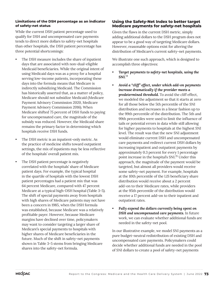#### **Limitations of the DSH percentage as an indicator of safety-net status**

While the current DSH patient percentage used to qualify for DSH and uncompensated care payments tends to direct more dollars to safety-net hospitals than other hospitals, the DSH patient percentage has three potential shortcomings:

- The DSH measure includes the share of inpatient days that are associated with non-dual-eligible Medicaid beneficiaries. While the original intent of using Medicaid days was as a proxy for a hospital serving low-income patients, incorporating these days into the formula means that Medicare is indirectly subsidizing Medicaid. The Commission has historically asserted that, as a matter of policy, Medicare should not subsidize Medicaid (Medicare Payment Advisory Commission 2020, Medicare Payment Advisory Commission 2016). When Medicare shifted 75 percent of DSH funds to paying for uncompensated care, the magnitude of the subsidy was reduced. However, the Medicaid share remains the primary factor in determining which hospitals receive DSH funds.
- The DSH metric is an inpatient-only metric. As the practice of medicine shifts toward outpatient settings, the mix of inpatients may be less reflective of the hospitals' overall patient mix.
- The DSH patient percentage is negatively correlated with the hospitals' share of Medicare patient days. For example, the typical hospital in the quartile of hospitals with the lowest DSH patient percentages had a patient mix that was 64 percent Medicare, compared with 47 percent Medicare at a typical high-DSH hospital (Table 3-5). The shift of special payments away from hospitals with high shares of Medicare patients may not have been a concern in 1985, when the DSH formula was established, because Medicare was a relatively profitable payer. However, because Medicare margins have declined over time, policymakers may want to consider targeting a larger share of Medicare's special payments to hospitals with higher shares of Medicare beneficiaries in the future. Much of the shift in safety-net payments shown in Table 3-5 stems from bringing Medicare shares into the safety-net formula.

#### **Using the Safety-Net Index to better target Medicare payments for safety-net hospitals**

Given the flaws in the current DSH metric, simply adding additional dollars to the DSH program does not appear to be a good way of targeting Medicare dollars. However, reasonable options exist for altering the distribution of Medicare's current safety-net payments.

We illustrate one such approach, which is designed to accomplish three objectives:

- *• Target payments to safety-net hospitals, using the SNI.*<sup>14</sup>
- *• Avoid a "cliff" effect, under which add-on payments increase dramatically if the provider meets a predetermined threshold.* To avoid the cliff effect, we modeled the adjustment so that it starts at zero for all those below the 5th percentile of the SNI distribution and increases in a linear fashion up to the 99th percentile of the distribution. The 5th and 99th percentiles were used to limit the influence of tails or potential errors in data while still allowing for higher payments to hospitals at the highest SNI level. The result was that the new SNI adjustment would eliminate current DSH and uncompensated care payments and redirect current DSH dollars by increasing inpatient and outpatient payments by approximately 0.3 percent for every 1 percentage point increase in the hospital's SNI.<sup>15</sup> Under this approach, the magnitude of the payment would be targeted, but almost all providers would receive some safety-net payment. For example, hospitals at the 10th percentile of the LIS beneficiary share distribution would receive about a 2 percent add-on to their Medicare rates, while providers at the 95th percentile of the distribution would receive a 17 percent add-on to their inpatient and outpatient rates.
- *• Fully expend the dollars currently being spent on DSH and uncompensated care payments.* In future work, we can evaluate whether additional funds are needed in the safety-net pool.

In our illustrative example, we model SNI payments as a pure budget-neutral redistribution of existing DSH and uncompensated care payments. Policymakers could decide whether additional funds are needed in the pool of SNI dollars to create a pool of safety-net payments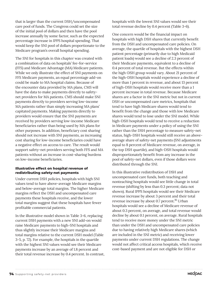that is larger than the current DSH/uncompensated care pool of funds. The Congress could set the size of the initial pool of dollars and then have the pool increase annually by some factor, such as the expected percentage increase in IPPS hospital spending. That would keep the SNI pool of dollars proportionate to the Medicare program's overall hospital spending.

The SNI for hospitals in this chapter was created with a combination of data on hospitals' fee-for-service (FFS) and Medicare Advantage (MA) Medicare patients. While we only illustrate the effect of SNI payments on FFS Medicare payments, an equal percentage add-on could be made to MA hospital claims. Because of the encounter data provided by MA plans, CMS will have the data to make payments directly to safetynet providers for MA patients. CMS should make SNI payments directly to providers serving low-income MA patients rather than simply increasing MA plans' capitated payments. Making payments directly to providers would ensure that the SNI payments are received by providers serving low-income Medicare beneficiaries rather than being used by MA plans for other purposes. In addition, beneficiary cost sharing should not increase with SNI payments, as increasing cost sharing for low-income beneficiaries could have a negative effect on access to care. The result would support safety-net providers serving both FFS and MA patients without an increase in cost-sharing burdens on low-income beneficiaries.

#### **Illustrative effect on hospital revenue of redistributing safety-net payments**

Under current DSH policies, hospitals with high SNI values tend to have above-average Medicare margins and below-average total margins. The higher Medicare margins reflect the DSH and uncompensated care payments these hospitals receive, and the lower total margins suggest that these hospitals have fewer profitable commercial patients.

In the illustrative model shown in Table 3-6, replacing current DSH payments with a new SNI add-on would raise Medicare payments to high-SNI hospitals and thus slightly increase their Medicare margins and total margins relative to the current DSH model (Table 3-5, p. 72). For example, the hospitals in the quartile with the highest SNI values would see their Medicare payments increase by an average of 1.8 percent and their total revenue increase by 0.4 percent. In contrast, hospitals with the lowest SNI values would see their total revenue decline by 0.4 percent (Table 3-6).

One concern would be the financial impact on hospitals with high DSH shares that currently benefit from the DSH and uncompensated care policies. On average, the quartile of hospitals with the highest DSH patient percentage (primarily due to high Medicaid patient loads) would see a decline of 2.3 percent of their Medicare payments, equivalent to a decline of 0.4 percent of total revenue. But the effects within the high-DSH group would vary. About 21 percent of the high-DSH hospitals would experience a decline of more than 1 percent in revenue, and about 13 percent of high-DSH hospitals would receive more than a 1 percent increase in total revenue. Because Medicare shares are a factor in the SNI metric but not in current DSH or uncompensated care metrics, hospitals that tend to have high Medicare shares would tend to benefit from the change and those with low Medicare shares would tend to lose under the SNI model. While high-DSH hospitals would tend to receive a reduction in Medicare payments under a policy of using the SNI rather than the DSH percentage to measure safety-net status, high-DSH hospitals would still receive an aboveaverage share of safety-net payments (SNI adjustments equal to 8 percent of Medicare revenue, on average, in the top DSH quartile), and high-DSH hospitals would disproportionately benefit from any increase in the pool of safety-net dollars, even if those dollars were distributed through the SNI.

In this illustrative redistribution of DSH and uncompensated care funds, both teaching and nonteaching hospitals would see little change in total revenue (shifting by less than 0.3 percent; data not shown). Rural IPPS hospitals would see their Medicare revenue increase by about 3 percent and their total revenue increase by about 0.7 percent.<sup>16</sup> Urban hospitals would see a decline of Medicare revenue of about 0.3 percent, on average, and total revenue would decline by about 0.1 percent, on average. Rural hospitals tend to receive more money under the SNI metric than under the DSH and uncompensated care policies due to having relatively high Medicare shares (which are included in the SNI metric) and receiving lower payments under current DSH regulations. The change would not affect critical access hospitals, which receive cost-based payment and are not eligible for DSH or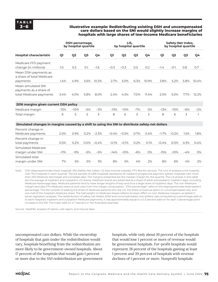#### **3–6 Illustrative example: Redistributing existing DSH and uncompensated care dollars based on the SNI would slightly increase margins of hospitals with large shares of low-income Medicare beneficiaries**

|                                                                                                  | DSH percentage,<br>by hospital quartile |                |                |         |                 | LIS.<br>by hospital quartile |                |                |          | Safety-Net Index,<br>by hospital quartile |                |       |  |
|--------------------------------------------------------------------------------------------------|-----------------------------------------|----------------|----------------|---------|-----------------|------------------------------|----------------|----------------|----------|-------------------------------------------|----------------|-------|--|
| <b>Hospital characteristic</b>                                                                   | Q1                                      | Q <sub>2</sub> | Q <sub>3</sub> | Q4      | Q1              | Q <sub>2</sub>               | Q <sub>3</sub> | Q4             | Q1       | Q <sub>2</sub>                            | Q <sub>3</sub> | Q4    |  |
| Medicare FFS payment<br>change (in millions)                                                     | 1.0                                     | 0.5            | 0.1            | $-1.6$  | $-0.3$          | $-0.3$                       | 0.5            | 0.2            | $-1.4$   | $-0.1$                                    | 0.8            | 0.7   |  |
| Mean DSH payments as<br>a share of total Medicare<br>payments                                    | 1.4%                                    | 4.9%           | 5.6%           | 10.3%   | 2.7%            | 5.0%                         | 6.3%           | 10.9%          | 3.8%     | 5.2%                                      | 5.8%           | 10.4% |  |
| Mean simulated SNI<br>payments as a share of<br>total Medicare payments                          | 3.4%                                    | 4.0%           | 5.8%           | 8.0%    | 2.4%            | 4.5%                         | 7.0%           | 11.4%          | 2.0%     | 5.0%                                      | 7.7%           | 12.2% |  |
| 2016 margins given current DSH policy                                                            |                                         |                |                |         |                 |                              |                |                |          |                                           |                |       |  |
| Medicare margin                                                                                  | $-13%$                                  | $-10%$         | $-5%$          | $-3%$   | $-13%$          | $-10%$                       | $-7%$          | O%             | $-13%$   | $-10%$                                    | $-6%$          | $-2%$ |  |
| Total margin                                                                                     | 6                                       | 5              | 5              | 3       | 8               | 6                            | 3              | $\overline{2}$ | 8        | 6                                         | 3              | 1     |  |
| Simulated changes in margins caused by a shift to using the SNI to distribute safety-net dollars |                                         |                |                |         |                 |                              |                |                |          |                                           |                |       |  |
| Percent change in<br>Medicare payments                                                           | 2.0%                                    | 0.9%           | 0.2%           | $-2.3%$ | $-0.4\% -0.5\%$ |                              | 0.7%           | 0.4%           | $-1.7\%$ | $-0.2%$                                   | 1.5%           | 1.8%  |  |
| Percent change in<br>total payments                                                              | 0.5%                                    | 0.2%           | $0.0\%$        | $-0.4%$ | $-0.1%$         | $-0.1%$                      | 0.2%           | 0.1%           | $-0.4%$  | 0.0%                                      | 0.3%           | 0.4%  |  |
| Simulated Medicare<br>margin under SNI                                                           | $-11%$                                  | $-9%$          | $-5%$          | $-5%$   | $-14%$          | $-10%$                       | $-6%$          | 0%             | $-15%$   | $-10%$                                    | $-4%$          | 0%    |  |
| Simulated total<br>margin under SNI                                                              | 7%                                      | 5%             | 5%             | 3%      | 8%              | 5%                           | 4%             | 2%             | 8%       | 6%                                        | 4%             | 2%    |  |

Note: DSH (disproportionate share hospital), SNI (Safety-Net Index), LIS (low-income subsidy), FFS (fee-for-service). The unit of analysis is the hospital, with 704 hospitals in each quartile. The full sample of 2,816 hospitals represents all inpatient prospective payment system hospitals with more than 200 Medicare discharges and complete data. The margins presented are the median margin for the quartile. The LIS shares in this table are the average of inpatient and outpatient LIS shares. Medicare shares are presented as a share of adult and pediatric inpatient days, including Medicare Advantage days. Medicare patients tend to have longer lengths of stay and thus a large share of inpatient days. The non-Medicare margin excludes FFS Medicare revenue and costs from the margin computation. "DSH percentage" refers to the disproportionate share patient percentage. The SNI consists of adding the share of Medicare patients who are LIS, the share of revenue spent on uncompensated care, and one-half of the hospital's Medicare share. The half weight on Medicare shares reflects its lower effect on non-Medicare margins, as tested in series regression analyses. The redistribution of safety-net dollars (DSH and uncompensated care dollars) was computed as a percentage add-on to each hospital's inpatient and outpatient Medicare payments; it was approximately equal to a 0.3 percent add-on for each 1 percentage point increase in the SNI. The mean add-on is 7 percent in the illustrative example.

Source: MedPAC analysis of claims, cost report, and closure data.

uncompensated care dollars. While the ownership of hospitals that gain under the redistribution would vary, hospitals benefiting from the redistribution are more likely to be government-owned hospitals. About 17 percent of the hospitals that would gain 1 percent or more due to the SNI redistribution are government

hospitals, while only about 10 percent of the hospitals that would lose 1 percent or more of revenue would be government hospitals. For-profit hospitals would represent 28 percent of the hospitals gaining at least 1 percent and 39 percent of hospitals with revenue declines of 1 percent or more. Nonprofit hospitals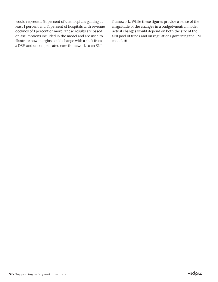would represent 54 percent of the hospitals gaining at least 1 percent and 51 percent of hospitals with revenue declines of 1 percent or more. These results are based on assumptions included in the model and are used to illustrate how margins could change with a shift from a DSH and uncompensated care framework to an SNI

framework. While these figures provide a sense of the magnitude of the changes in a budget-neutral model, actual changes would depend on both the size of the SNI pool of funds and on regulations governing the SNI model. ■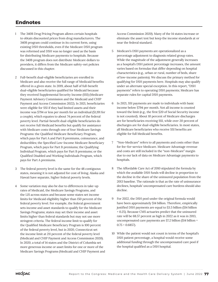## **Endnotes**

- 1 The 340B Drug Pricing Program allows certain hospitals to obtain discounted prices from drug manufacturers. The 340B program could continue in its current form, using existing DSH thresholds, even if the Medicare DSH program was reformed and DSH was no longer used as the basis for distributing Medicare payments to hospitals. Because the 340B program does not distribute Medicare dollars to providers, it differs from the Medicare safety-net policies discussed in this chapter.
- 2 Full-benefit dual-eligible beneficiaries are enrolled in Medicare and also receive the full range of Medicaid benefits offered in a given state. In 2019, about half of full-benefit dual-eligible beneficiaries qualified for Medicaid because they received Supplemental Security Income (SSI) (Medicare Payment Advisory Commission and the Medicaid and CHIP Payment and Access Commission 2022). In 2021, beneficiaries were eligible for SSI if they had limited assets and their income was \$794 or less per month for an individual (\$1,191 for a couple), which equates to about 74 percent of the federal poverty level. Partial-benefit dual-eligible beneficiaries do not receive full Medicaid benefits but qualify for assistance with Medicare costs through one of four Medicare Savings Programs: the Qualified Medicare Beneficiary Program, which pays for Part A and Part B premiums, coinsurance, and deductibles; the Specified Low-Income Medicare Beneficiary Program, which pays for Part B premiums; the Qualifying Individual Program, which pays for Part B premiums; or the Qualified Disabled and Working Individuals Program, which pays for Part A premiums.
- 3 The federal poverty level is the same for the 48 contiguous states, meaning it is not adjusted for cost of living. Alaska and Hawaii have separate, higher federal poverty levels.
- 4 Some variation may also be due to differences in take-up rates of Medicaid, the Medicare Savings Programs, and the LIS across states and because some states set income limits for Medicaid eligibility higher than 150 percent of the federal poverty level. For example, the federal government sets income and asset standards to qualify for the Medicare Savings Programs; states may set their income and asset limits higher than federal standards but may not use more stringent criteria. The federal income limit to qualify for the Qualified Medicare Beneficiary Program is 100 percent of the federal poverty level, but in 2020, Connecticut set the income limit at 211 percent of the federal poverty level (Medicaid and CHIP Payment and Access Commission 2020). In 2020, a total of 14 states and the District of Columbia set more generous income or asset limits for one or more of the Medicare Savings Programs (Medicaid and CHIP Payment and

Access Commission 2020). Many of the 14 states increase or eliminate the asset test but keep the income standards at or near the federal standard.

- 5 Medicare's DSH payments are operationalized as a percentage adjustment to diagnosis related group rates. While the magnitude of the adjustment generally increases as a hospital's DSH patient percentage increases, the amount varies based on formulas that differ depending on hospital characteristics (e.g., urban or rural, number of beds, share of low-income patients). We discuss the primary method for qualifying for DSH payments here. Hospitals may also qualify under an alternate special exception. In this report, "DSH payments" refers to operating DSH payments; Medicare has separate rules for capital DSH payments.
- 6 In 2021, SSI payments are made to individuals with basic income below \$794 per month. Not all income is counted toward the limit (e.g., the first \$20 of Social Security income is not counted). About 10 percent of Medicare discharges are for beneficiaries receiving SSI, while over 20 percent of discharges are for dual-eligible beneficiaries. In most states, all Medicare beneficiaries who receive SSI benefits are eligible for full Medicaid benefits.
- 7 "Non-Medicare" refers to all payments and costs other than for fee-for-service Medicare. Medicare Advantage revenue and costs are still included in the "non-Medicare" margin due to our lack of data on Medicare Advantage payments to hospitals.
- 8 The Affordable Care Act of 2010 stipulated the formula by which the available DSH funds will decline in proportion to the decline in the share of the uninsured population from the 2013 baseline. The rationale is that as the rate of uninsurance declines, hospitals' uncompensated care burdens should also decline.
- 9 For 2022, the DSH pool under the original formula would have been approximately \$14 billion. Therefore, empirically justified DSH payments are equal to \$3.5 billion (\$14 billion × 0.25). Because CMS actuaries predict that the uninsured rate will be 68.57 percent as high in 2022 as it was in 2013, uncompensated care payments are \$7.2 billion (\$14 billion ×  $0.75 \times 0.6857$ ).
- 10 While the patient would not count in terms of the hospital's DSH patient percentage, a hospital would receive some additional funding through the uncompensated care pool if the hospital qualified as a DSH hospital.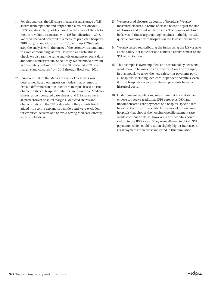- 11 For this analysis, the LIS share measure is an average of LIS shares from inpatient and outpatient claims. We divided IPPS hospitals into quartiles based on the share of their total Medicare volume associated with LIS beneficiaries in 2015. We then analyzed how well this measure predicted hospitals' 2016 margins and closures from 2016 until April 2020. We stop the analysis with the onset of the coronavirus pandemic to avoid confounding factors. However, as a robustness check, we also ran the same analysis using more recent data and found similar results. Specifically, we examined how our various safety-net metrics from 2018 predicted 2019 profit margins and closures from 2019 through fiscal year 2021.
- 12 Using one-half of the Medicare share of total days was determined based on regression models that attempt to explain differences in non-Medicare margins based on the characteristics of hospitals' patients. We found that Medicare shares, uncompensated care shares, and LIS shares were all predictors of hospital margins. Medicaid shares and characteristics of the ZIP codes where the patients lived added little to the explanatory models and were excluded for empirical reasons and to avoid having Medicare directly subsidize Medicaid.
- 13 We measured closures as counts of hospitals. We also measured closures in terms of closed beds to adjust for size of closures and found similar results. The number of closed beds was 10 times larger among hospitals in the highest SNI quartile compared with hospitals in the lowest SNI quartile.
- 14 We also tested redistributing the funds using the LIS variable as the safety-net indicator and achieved results similar to the SNI redistribution.
- 15 This example is oversimplified, and several policy decisions would have to be made in any redistribution. For example, in this model, we allow the new safety-net payments go to all hospitals, including Medicare-dependent hospitals, even if those hospitals receive cost-based payments based on historical costs.
- 16 Under current regulations, sole community hospitals can choose to receive traditional IPPS rates plus DSH and uncompensated care payments or a hospital-specific rate based on their historical costs. In this model, we assumed hospitals that choose the hospital-specific payment rate would continue to do so. However, a few hospitals could switch to the IPPS rates if they were allowed to obtain SNI payments, which could result in slightly higher increases in rural payments than those indicated in this simulation.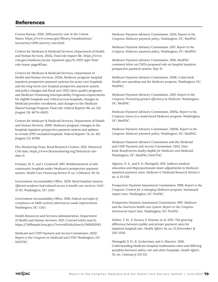## **References**

Census Bureau. 2020. 2019 poverty rate in the United States. https://www.census.gov/library/visualizations/ interactive/2019-poverty-rate.html.

Centers for Medicare & Medicaid Services, Department of Health and Human Services. 2021a. Final rule impact file. https://www. cms.gov/medicare/acute-inpatient-pps/fy-2022-ipps-finalrule-home-page#Data.

Centers for Medicare & Medicaid Services, Department of Health and Human Services. 2021b. Medicare program; hospital inpatient prospective payment systems for acute care hospitals and the long-term care hospital prospective payment system and policy changes and fiscal year 2022 rates; quality programs and Medicare Promoting interoperability Programs requirements for eligible hospitals and critical access hospitals; changes to Medicaid provider enrollment; and changes to the Medicare Shared Savings Program. Final rule. *Federal Register* 86, no. 154 (August 13): 44774-45615.

Centers for Medicare & Medicaid Services, Department of Health and Human Services. 2009. Medicare program; changes to the hospitals inpatient prospective payment system and updates to certain IPPS-excluded hospitals. *Federal Register* 74, no. 165 (August 27): 43768.

Flex Monitoring Team, Rural Research Centers. 2021. Historical CAH data. https://www.flexmonitoring.org/historical-cahdata-0.

Freiman, M. P., and J. Cromwell. 1987. Reimbursement of sole community hospitals under Medicare's prospective payment system. *Health Care Financing Review* 9, no. 2 (Winter): 39-54.

Government Accountability Office. 2020. *Rural hospital closures: Affected residents had reduced access to health care services.* GAO-21-93. Washington, DC: GAO.

Government Accountability Office. 2018. *Federal oversight of compliance at 340B contract pharmacies needs improvement.*  Washington, DC: GAO.

Health Resources and Services Administration, Department of Health and Human Services. 2021. Covered entity search. https://340bopais.hrsa.gov/CoveredEntitySearch/000020143.

Medicaid and CHIP Payment and Access Commission. 2020. *Report to the Congress on Medicaid and CHIP.* Washington, DC: MACPAC.

Medicare Payment Advisory Commission. 2020. *Report to the Congress: Medicare payment policy.* Washington, DC: MedPAC.

Medicare Payment Advisory Commission. 2017. *Report to the Congress: Medicare payment policy.* Washington, DC: MedPAC.

Medicare Payment Advisory Commission. 2016. MedPAC comment letter on CMS's proposed rule on hospital inpatient prospective payment system, May 31.

Medicare Payment Advisory Commission. 2008. *A data book: Health care spending and the Medicare program.* Washington, DC: MedPAC.

Medicare Payment Advisory Commission. 2007. *Report to the Congress: Promoting greater efficiency in Medicare.* Washington, DC: MedPAC.

Medicare Payment Advisory Commission. 2005a. *Report to the Congress: Issues in a modernized Medicare program.* Washington, DC: MedPAC.

Medicare Payment Advisory Commission. 2005b. *Report to the Congress: Medicare payment policy.* Washington, DC: MedPAC.

Medicare Payment Advisory Commission and the Medicaid and CHIP Payment and Access Commission. 2022. *Data book: Beneficiaries dually eligible for Medicare and Medicaid.*  Washington, DC: MedPAC/MACPAC.

Nguyen, N. X., and S. H. Sheingold. 2011. Indirect medical education and disproportionate share adjustments to Medicare inpatient payment rates. *Medicare & Medicaid Research Review* 1, no. 4: E1-E19.

Prospective Payment Assessment Commission. 1998. *Report to the Congress: Context for a changing Medicare program.* Intramural report June. Washington, DC: ProPAC.

Prospective Payment Assessment Commission. 1997. *Medicare and the American health care system: Report to the Congress. Intramural report June.* Washington, DC: ProPAC.

Selden, T. M., Z. Karaca, P. Keenan, et al. 2015. The growing difference between public and private payment rates for inpatient hospital care. *Health Affairs* 34, no. 12 (December 1): 2147-2150.

Sheingold, S. H., R. Zuckerman, and A. Shartzer. 2016. Understanding Medicare hospital readmission rates and differing penalties between safety-net and other hospitals. *Health Affairs*  35, no. 1 (January): 124-131.